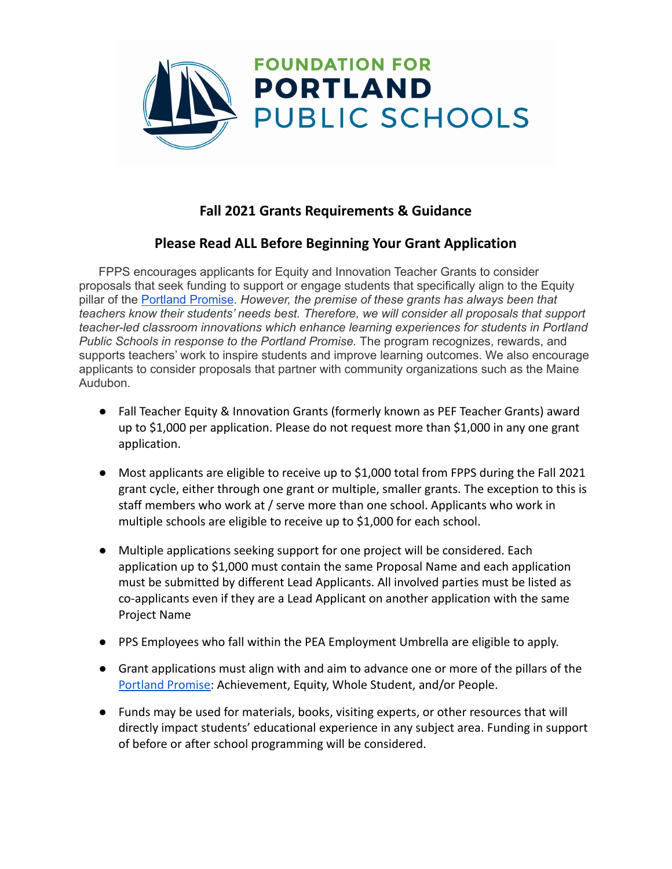

## **Fall 2021 Grants Requirements & Guidance**

## **Please Read ALL Before Beginning Your Grant Application**

FPPS encourages applicants for Equity and Innovation Teacher Grants to consider proposals that seek funding to support or engage students that specifically align to the Equity pillar of the [Portland](https://www.portlandschoolspromise.org/) Promise. *However, the premise of these grants has always been that teachers know their students' needs best. Therefore, we will consider all proposals that support teacher-led classroom innovations which enhance learning experiences for students in Portland Public Schools in response to the Portland Promise.* The program recognizes, rewards, and supports teachers' work to inspire students and improve learning outcomes. We also encourage applicants to consider proposals that partner with community organizations such as the Maine Audubon.

- Fall Teacher Equity & Innovation Grants (formerly known as PEF Teacher Grants) award up to \$1,000 per application. Please do not request more than \$1,000 in any one grant application.
- Most applicants are eligible to receive up to \$1,000 total from FPPS during the Fall 2021 grant cycle, either through one grant or multiple, smaller grants. The exception to this is staff members who work at / serve more than one school. Applicants who work in multiple schools are eligible to receive up to \$1,000 for each school.
- Multiple applications seeking support for one project will be considered. Each application up to \$1,000 must contain the same Proposal Name and each application must be submitted by different Lead Applicants. All involved parties must be listed as co-applicants even if they are a Lead Applicant on another application with the same Project Name
- PPS Employees who fall within the PEA Employment Umbrella are eligible to apply.
- Grant applications must align with and aim to advance one or more of the pillars of the [Portland Promise:](https://www.portlandschoolspromise.org/) Achievement, Equity, Whole Student, and/or People.
- Funds may be used for materials, books, visiting experts, or other resources that will directly impact students' educational experience in any subject area. Funding in support of before or after school programming will be considered.